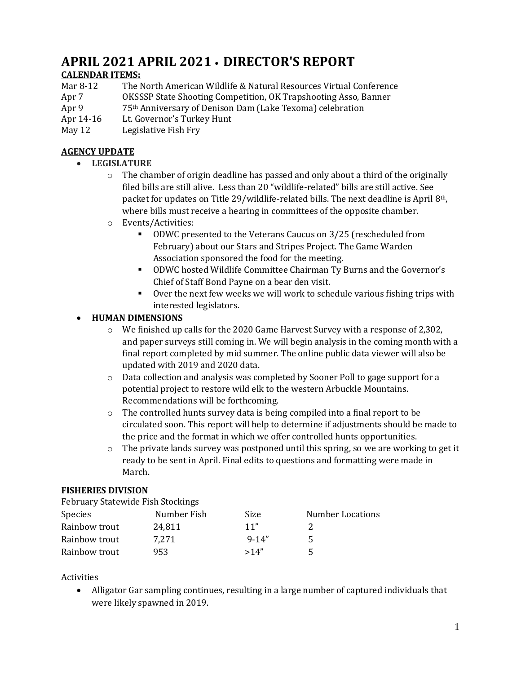# **APRIL 2021 APRIL 2021 • DIRECTOR'S REPORT**

## **CALENDAR ITEMS:**

| Mar 8-12         | The North American Wildlife & Natural Resources Virtual Conference     |
|------------------|------------------------------------------------------------------------|
| Apr <sub>7</sub> | <b>OKSSSP State Shooting Competition, OK Trapshooting Asso, Banner</b> |
| Apr 9            | 75th Anniversary of Denison Dam (Lake Texoma) celebration              |
| Apr 14-16        | Lt. Governor's Turkey Hunt                                             |
| May 12           | Legislative Fish Fry                                                   |

#### **AGENCY UPDATE**

- **LEGISLATURE**
	- $\circ$  The chamber of origin deadline has passed and only about a third of the originally filed bills are still alive. Less than 20 "wildlife-related" bills are still active. See packet for updates on Title 29/wildlife-related bills. The next deadline is April 8th, where bills must receive a hearing in committees of the opposite chamber.
	- o Events/Activities:
		- ODWC presented to the Veterans Caucus on 3/25 (rescheduled from February) about our Stars and Stripes Project. The Game Warden Association sponsored the food for the meeting.
		- ODWC hosted Wildlife Committee Chairman Ty Burns and the Governor's Chief of Staff Bond Payne on a bear den visit.
		- Over the next few weeks we will work to schedule various fishing trips with interested legislators.

## • **HUMAN DIMENSIONS**

- $\circ$  We finished up calls for the 2020 Game Harvest Survey with a response of 2,302, and paper surveys still coming in. We will begin analysis in the coming month with a final report completed by mid summer. The online public data viewer will also be updated with 2019 and 2020 data.
- $\circ$  Data collection and analysis was completed by Sooner Poll to gage support for a potential project to restore wild elk to the western Arbuckle Mountains. Recommendations will be forthcoming.
- $\circ$  The controlled hunts survey data is being compiled into a final report to be circulated soon. This report will help to determine if adjustments should be made to the price and the format in which we offer controlled hunts opportunities.
- $\circ$  The private lands survey was postponed until this spring, so we are working to get it ready to be sent in April. Final edits to questions and formatting were made in March.

#### **FISHERIES DIVISION**

| February Statewide Fish Stockings |             |            |                         |
|-----------------------------------|-------------|------------|-------------------------|
| <b>Species</b>                    | Number Fish | Size       | <b>Number Locations</b> |
| Rainbow trout                     | 24,811      | 11"        |                         |
| Rainbow trout                     | 7.271       | $9 - 14''$ | 5                       |
| Rainbow trout                     | 953         | >14"       |                         |

Activities

• Alligator Gar sampling continues, resulting in a large number of captured individuals that were likely spawned in 2019.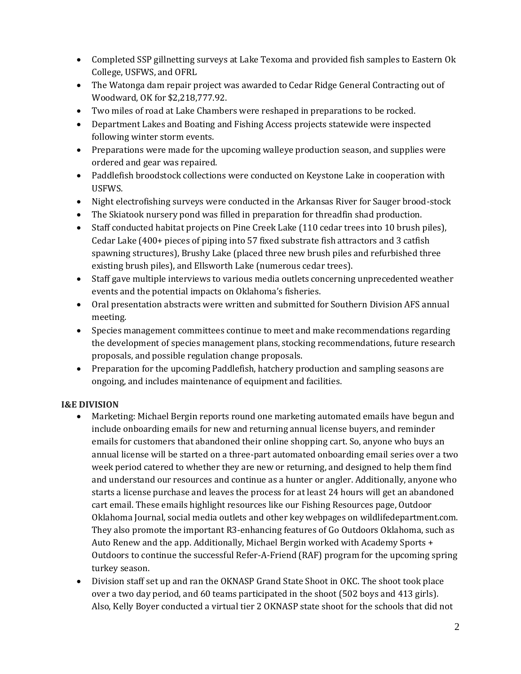- Completed SSP gillnetting surveys at Lake Texoma and provided fish samples to Eastern Ok College, USFWS, and OFRL
- The Watonga dam repair project was awarded to Cedar Ridge General Contracting out of Woodward, OK for \$2,218,777.92.
- Two miles of road at Lake Chambers were reshaped in preparations to be rocked.
- Department Lakes and Boating and Fishing Access projects statewide were inspected following winter storm events.
- Preparations were made for the upcoming walleye production season, and supplies were ordered and gear was repaired.
- Paddlefish broodstock collections were conducted on Keystone Lake in cooperation with USFWS.
- Night electrofishing surveys were conducted in the Arkansas River for Sauger brood-stock
- The Skiatook nursery pond was filled in preparation for threadfin shad production.
- Staff conducted habitat projects on Pine Creek Lake (110 cedar trees into 10 brush piles), Cedar Lake (400+ pieces of piping into 57 fixed substrate fish attractors and 3 catfish spawning structures), Brushy Lake (placed three new brush piles and refurbished three existing brush piles), and Ellsworth Lake (numerous cedar trees).
- Staff gave multiple interviews to various media outlets concerning unprecedented weather events and the potential impacts on Oklahoma's fisheries.
- Oral presentation abstracts were written and submitted for Southern Division AFS annual meeting.
- Species management committees continue to meet and make recommendations regarding the development of species management plans, stocking recommendations, future research proposals, and possible regulation change proposals.
- Preparation for the upcoming Paddlefish, hatchery production and sampling seasons are ongoing, and includes maintenance of equipment and facilities.

## **I&E DIVISION**

- Marketing: Michael Bergin reports round one marketing automated emails have begun and include onboarding emails for new and returning annual license buyers, and reminder emails for customers that abandoned their online shopping cart. So, anyone who buys an annual license will be started on a three-part automated onboarding email series over a two week period catered to whether they are new or returning, and designed to help them find and understand our resources and continue as a hunter or angler. Additionally, anyone who starts a license purchase and leaves the process for at least 24 hours will get an abandoned cart email. These emails highlight resources like our Fishing Resources page, Outdoor Oklahoma Journal, social media outlets and other key webpages on wildlifedepartment.com. They also promote the important R3-enhancing features of Go Outdoors Oklahoma, such as Auto Renew and the app. Additionally, Michael Bergin worked with Academy Sports + Outdoors to continue the successful Refer-A-Friend (RAF) program for the upcoming spring turkey season.
- Division staff set up and ran the OKNASP Grand State Shoot in OKC. The shoot took place over a two day period, and 60 teams participated in the shoot (502 boys and 413 girls). Also, Kelly Boyer conducted a virtual tier 2 OKNASP state shoot for the schools that did not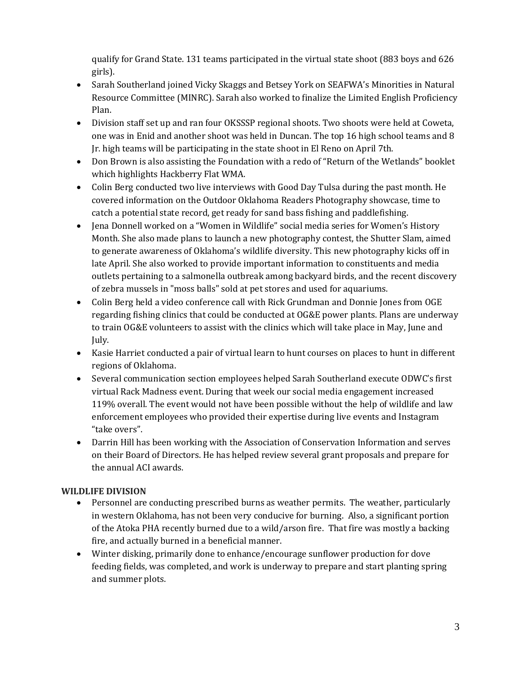qualify for Grand State. 131 teams participated in the virtual state shoot (883 boys and 626 girls).

- Sarah Southerland joined Vicky Skaggs and Betsey York on SEAFWA's Minorities in Natural Resource Committee (MINRC). Sarah also worked to finalize the Limited English Proficiency Plan.
- Division staff set up and ran four OKSSSP regional shoots. Two shoots were held at Coweta, one was in Enid and another shoot was held in Duncan. The top 16 high school teams and 8 Jr. high teams will be participating in the state shoot in El Reno on April 7th.
- Don Brown is also assisting the Foundation with a redo of "Return of the Wetlands" booklet which highlights Hackberry Flat WMA.
- Colin Berg conducted two live interviews with Good Day Tulsa during the past month. He covered information on the Outdoor Oklahoma Readers Photography showcase, time to catch a potential state record, get ready for sand bass fishing and paddlefishing.
- Jena Donnell worked on a "Women in Wildlife" social media series for Women's History Month. She also made plans to launch a new photography contest, the Shutter Slam, aimed to generate awareness of Oklahoma's wildlife diversity. This new photography kicks off in late April. She also worked to provide important information to constituents and media outlets pertaining to a salmonella outbreak among backyard birds, and the recent discovery of zebra mussels in "moss balls" sold at pet stores and used for aquariums.
- Colin Berg held a video conference call with Rick Grundman and Donnie Jones from OGE regarding fishing clinics that could be conducted at OG&E power plants. Plans are underway to train OG&E volunteers to assist with the clinics which will take place in May, June and July.
- Kasie Harriet conducted a pair of virtual learn to hunt courses on places to hunt in different regions of Oklahoma.
- Several communication section employees helped Sarah Southerland execute ODWC's first virtual Rack Madness event. During that week our social media engagement increased 119% overall. The event would not have been possible without the help of wildlife and law enforcement employees who provided their expertise during live events and Instagram "take overs".
- Darrin Hill has been working with the Association of Conservation Information and serves on their Board of Directors. He has helped review several grant proposals and prepare for the annual ACI awards.

# **WILDLIFE DIVISION**

- Personnel are conducting prescribed burns as weather permits. The weather, particularly in western Oklahoma, has not been very conducive for burning. Also, a significant portion of the Atoka PHA recently burned due to a wild/arson fire. That fire was mostly a backing fire, and actually burned in a beneficial manner.
- Winter disking, primarily done to enhance/encourage sunflower production for dove feeding fields, was completed, and work is underway to prepare and start planting spring and summer plots.